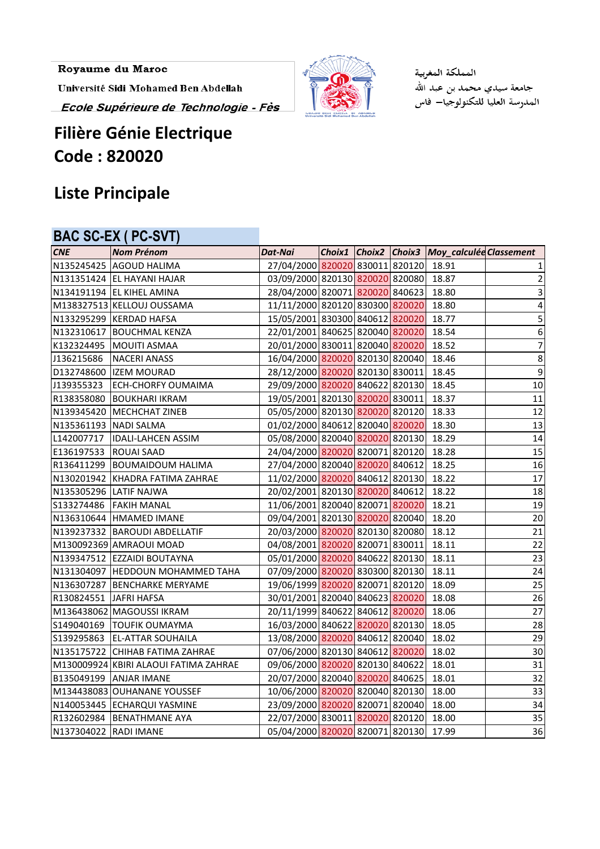Royaume du Maroc

Université Sidi Mohamed Ben Abdellah

Ecole Supérieure de Technologie - Fès

# **Filière Génie Electrique Code : 820020**

## **Liste Principale**

#### **BAC SC-EX ( PC-SVT)**

| <b>CNE</b>             | <b>Nom Prénom</b>                     | <b>Dat-Nai</b>                        |  | Choix1 Choix2 Choix3 Moy_calculée Classement |                |
|------------------------|---------------------------------------|---------------------------------------|--|----------------------------------------------|----------------|
|                        | N135245425 AGOUD HALIMA               | 27/04/2000 820020 830011 820120 18.91 |  |                                              |                |
|                        | N131351424 EL HAYANI HAJAR            | 03/09/2000 820130 820020 820080       |  | 18.87                                        | $\overline{2}$ |
|                        | N134191194 EL KIHEL AMINA             | 28/04/2000 820071 820020 840623       |  | 18.80                                        | 3              |
|                        | M138327513 KELLOUJ OUSSAMA            | 11/11/2000 820120 830300 820020       |  | 18.80                                        | 4              |
|                        | N133295299 KERDAD HAFSA               | 15/05/2001 830300 840612 820020       |  | 18.77                                        | $\sf 5$        |
|                        | N132310617 BOUCHMAL KENZA             | 22/01/2001 840625 820040 820020 18.54 |  |                                              | $6 \mid$       |
|                        | K132324495   MOUITI ASMAA             | 20/01/2000 830011 820040 820020       |  | 18.52                                        | $\overline{7}$ |
| J136215686             | NACERI ANASS                          | 16/04/2000 820020 820130 820040       |  | 18.46                                        | $\bf 8$        |
|                        | D132748600  IZEM MOURAD               | 28/12/2000 820020 820130 830011       |  | 18.45                                        | $\overline{9}$ |
|                        | J139355323 ECH-CHORFY OUMAIMA         | 29/09/2000 820020 840622 820130       |  | 18.45                                        | 10             |
|                        | R138358080 BOUKHARI IKRAM             | 19/05/2001 820130 820020 830011       |  | 18.37                                        | 11             |
|                        | N139345420   MECHCHAT ZINEB           | 05/05/2000 820130 820020 820120       |  | 18.33                                        | 12             |
| N135361193 NADI SALMA  |                                       | 01/02/2000 840612 820040 820020       |  | 18.30                                        | 13             |
|                        | L142007717  IDALI-LAHCEN ASSIM        | 05/08/2000 820040 820020 820130       |  | 18.29                                        | 14             |
| E136197533 ROUAI SAAD  |                                       | 24/04/2000 820020 820071 820120       |  | 18.28                                        | 15             |
|                        | R136411299 BOUMAIDOUM HALIMA          | 27/04/2000 820040 820020 840612       |  | 18.25                                        | 16             |
|                        | N130201942 KHADRA FATIMA ZAHRAE       | 11/02/2000 820020 840612 820130       |  | 18.22                                        | 17             |
|                        | N135305296 LATIF NAJWA                | 20/02/2001 820130 820020 840612       |  | 18.22                                        | 18             |
|                        | S133274486 FAKIH MANAL                | 11/06/2001 820040 820071 820020       |  | 18.21                                        | 19             |
|                        | N136310644 HMAMED IMANE               | 09/04/2001 820130 820020 820040       |  | 18.20                                        | 20             |
|                        | N139237332 BAROUDI ABDELLATIF         | 20/03/2000 820020 820130 820080       |  | 18.12                                        | 21             |
|                        | M130092369 AMRAOUI MOAD               | 04/08/2001 820020 820071 830011       |  | 18.11                                        | 22             |
|                        | N139347512 EZZAIDI BOUTAYNA           | 05/01/2000 820020 840622 820130       |  | 18.11                                        | 23             |
|                        | N131304097  HEDDOUN MOHAMMED TAHA     | 07/09/2000 820020 830300 820130       |  | 18.11                                        | 24             |
|                        | N136307287 BENCHARKE MERYAME          | 19/06/1999 820020 820071 820120       |  | 18.09                                        | 25             |
| R130824551 JAFRI HAFSA |                                       | 30/01/2001 820040 840623 820020       |  | 18.08                                        | 26             |
|                        | M136438062 MAGOUSSI IKRAM             | 20/11/1999 840622 840612 820020       |  | 18.06                                        | 27             |
|                        | S149040169 TOUFIK OUMAYMA             | 16/03/2000 840622 820020 820130       |  | 18.05                                        | 28             |
|                        | S139295863 EL-ATTAR SOUHAILA          | 13/08/2000 820020 840612 820040       |  | 18.02                                        | 29             |
|                        | N135175722 CHIHAB FATIMA ZAHRAE       | 07/06/2000 820130 840612 820020       |  | 18.02                                        | 30             |
|                        | M130009924 KBIRI ALAOUI FATIMA ZAHRAE | 09/06/2000 820020 820130 840622       |  | 18.01                                        | 31             |
|                        | <b>B135049199 ANJAR IMANE</b>         | 20/07/2000 820040 820020 840625       |  | 18.01                                        | 32             |
|                        | M134438083 OUHANANE YOUSSEF           | 10/06/2000 820020 820040 820130       |  | 18.00                                        | 33             |
|                        | N140053445 ECHARQUI YASMINE           | 23/09/2000 820020 820071 820040       |  | 18.00                                        | 34             |
| R132602984             | <b>BENATHMANE AYA</b>                 | 22/07/2000 830011 820020 820120       |  | 18.00                                        | 35             |
| N137304022 RADI IMANE  |                                       | 05/04/2000 820020 820071 820130       |  | 17.99                                        | 36             |



المملكة المغربية جامعة سيدي محمد بن عبد الله<br>المدرسة العليا للتكنولوجيا— فاس